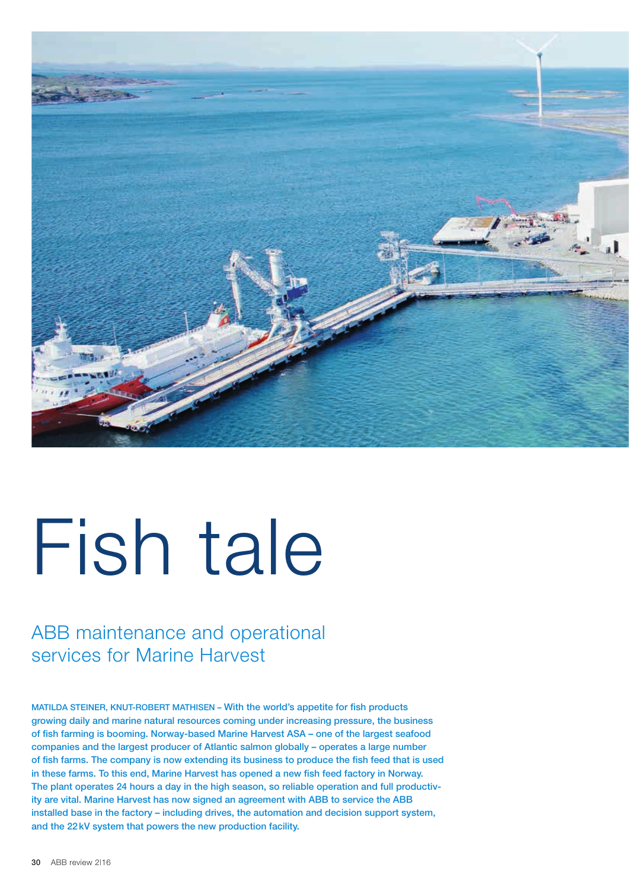

# Fish tale

# ABB maintenance and operational services for Marine Harvest

MATILDA STEINER, KNUT-ROBERT MATHISEN – With the world's appetite for fish products growing daily and marine natural resources coming under increasing pressure, the business of fish farming is booming. Norway-based Marine Harvest ASA – one of the largest seafood companies and the largest producer of Atlantic salmon globally – operates a large number of fish farms. The company is now extending its business to produce the fish feed that is used in these farms. To this end, Marine Harvest has opened a new fish feed factory in Norway. The plant operates 24 hours a day in the high season, so reliable operation and full productivity are vital. Marine Harvest has now signed an agreement with ABB to service the ABB installed base in the factory – including drives, the automation and decision support system, and the 22kV system that powers the new production facility.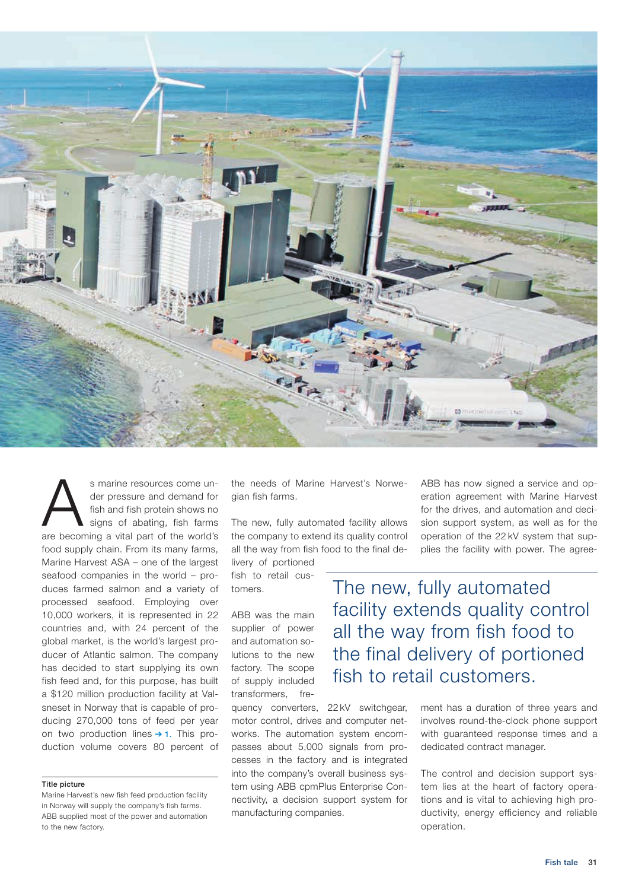

s marine resources come un-<br>der pressure and demand for<br>fish and fish protein shows no<br>signs of abating, fish farms<br>are becoming a vital part of the world's der pressure and demand for fish and fish protein shows no signs of abating, fish farms are becoming a vital part of the world's food supply chain. From its many farms, Marine Harvest ASA – one of the largest seafood companies in the world – produces farmed salmon and a variety of processed seafood. Employing over 10,000 workers, it is represented in 22 countries and, with 24 percent of the global market, is the world's largest producer of Atlantic salmon. The company has decided to start supplying its own fish feed and, for this purpose, has built a \$120 million production facility at Valsneset in Norway that is capable of producing 270,000 tons of feed per year on two production lines  $\rightarrow$  1. This production volume covers 80 percent of

### Title picture

Marine Harvest's new fish feed production facility in Norway will supply the company's fish farms. ABB supplied most of the power and automation to the new factory.

the needs of Marine Harvest's Norwegian fish farms.

The new, fully automated facility allows the company to extend its quality control all the way from fish food to the final de-

livery of portioned fish to retail customers.

ABB was the main supplier of power and automation solutions to the new factory. The scope of supply included transformers, fre-

quency converters, 22 kV switchgear, motor control, drives and computer networks. The automation system encompasses about 5,000 signals from processes in the factory and is integrated into the company's overall business system using ABB cpmPlus Enterprise Connectivity, a decision support system for manufacturing companies.

ABB has now signed a service and operation agreement with Marine Harvest for the drives, and automation and decision support system, as well as for the operation of the 22 kV system that supplies the facility with power. The agree-

The new, fully automated facility extends quality control all the way from fish food to the final delivery of portioned fish to retail customers.

> ment has a duration of three years and involves round-the-clock phone support with guaranteed response times and a dedicated contract manager.

> The control and decision support system lies at the heart of factory operations and is vital to achieving high productivity, energy efficiency and reliable operation.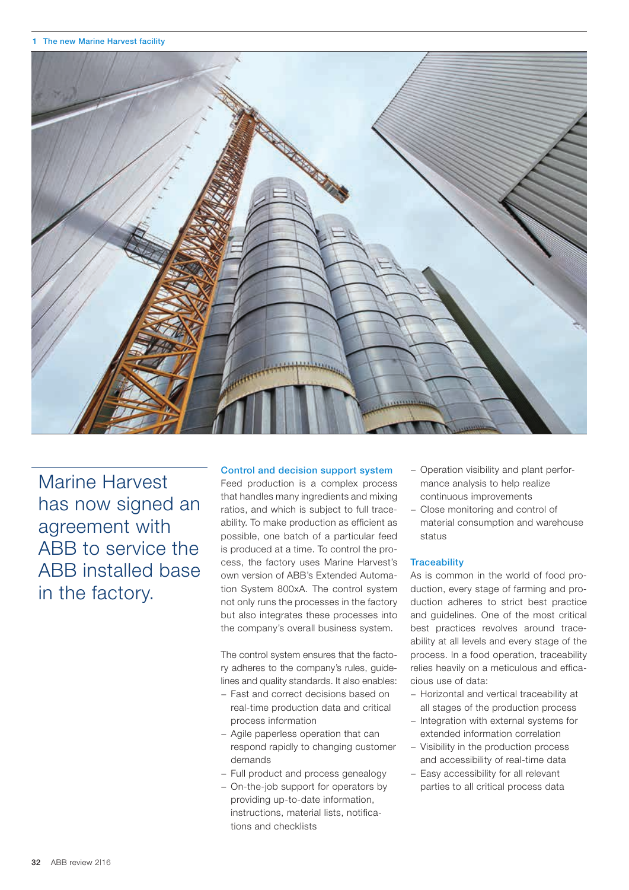

Marine Harvest has now signed an agreement with ABB to service the ABB installed base in the factory.

## Control and decision support system

Feed production is a complex process that handles many ingredients and mixing ratios, and which is subject to full traceability. To make production as efficient as possible, one batch of a particular feed is produced at a time. To control the process, the factory uses Marine Harvest's own version of ABB's Extended Automation System 800xA. The control system not only runs the processes in the factory but also integrates these processes into the company's overall business system.

The control system ensures that the factory adheres to the company's rules, guidelines and quality standards. It also enables:

- − Fast and correct decisions based on real-time production data and critical process information
- − Agile paperless operation that can respond rapidly to changing customer demands
- − Full product and process genealogy
- − On-the-job support for operators by providing up-to-date information, instructions, material lists, notifications and checklists
- − Operation visibility and plant performance analysis to help realize continuous improvements
- − Close monitoring and control of material consumption and warehouse status

# **Traceability**

As is common in the world of food production, every stage of farming and production adheres to strict best practice and guidelines. One of the most critical best practices revolves around traceability at all levels and every stage of the process. In a food operation, traceability relies heavily on a meticulous and efficacious use of data:

- − Horizontal and vertical traceability at all stages of the production process
- − Integration with external systems for extended information correlation
- Visibility in the production process and accessibility of real-time data
- − Easy accessibility for all relevant parties to all critical process data